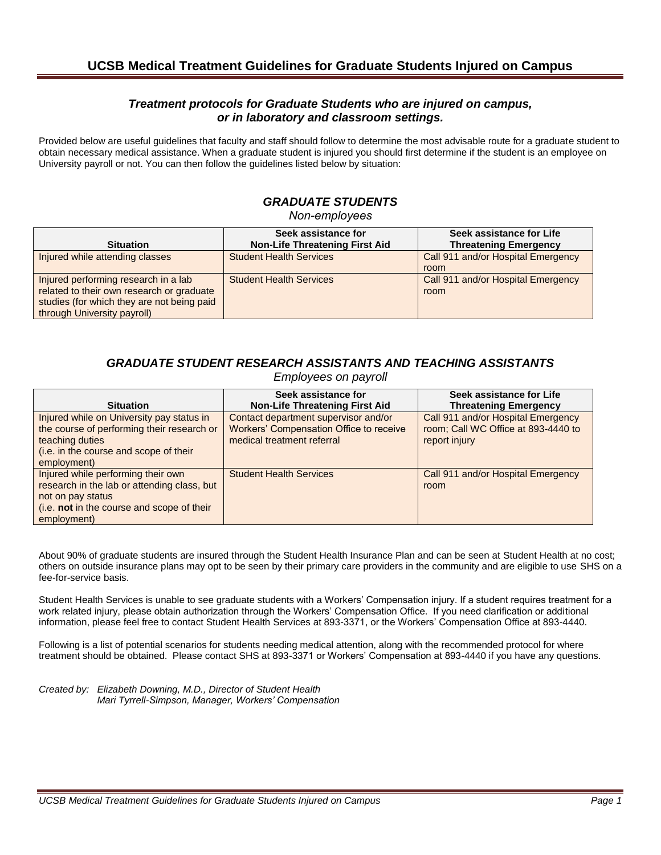### *Treatment protocols for Graduate Students who are injured on campus, or in laboratory and classroom settings.*

Provided below are useful guidelines that faculty and staff should follow to determine the most advisable route for a graduate student to obtain necessary medical assistance. When a graduate student is injured you should first determine if the student is an employee on University payroll or not. You can then follow the guidelines listed below by situation:

# *GRADUATE STUDENTS*

*Non-employees*

| <b>Situation</b>                                                                                                                                               | Seek assistance for<br><b>Non-Life Threatening First Aid</b> | Seek assistance for Life<br><b>Threatening Emergency</b> |
|----------------------------------------------------------------------------------------------------------------------------------------------------------------|--------------------------------------------------------------|----------------------------------------------------------|
| Injured while attending classes                                                                                                                                | <b>Student Health Services</b>                               | Call 911 and/or Hospital Emergency<br>room               |
| Injured performing research in a lab<br>related to their own research or graduate<br>studies (for which they are not being paid<br>through University payroll) | <b>Student Health Services</b>                               | Call 911 and/or Hospital Emergency<br>room               |

## *GRADUATE STUDENT RESEARCH ASSISTANTS AND TEACHING ASSISTANTS*

*Employees on payroll*

| <b>Situation</b>                                                                                                                                                    | Seek assistance for<br><b>Non-Life Threatening First Aid</b>                                                  | Seek assistance for Life<br><b>Threatening Emergency</b>                                   |
|---------------------------------------------------------------------------------------------------------------------------------------------------------------------|---------------------------------------------------------------------------------------------------------------|--------------------------------------------------------------------------------------------|
| Injured while on University pay status in<br>the course of performing their research or<br>teaching duties<br>(i.e. in the course and scope of their<br>employment) | Contact department supervisor and/or<br>Workers' Compensation Office to receive<br>medical treatment referral | Call 911 and/or Hospital Emergency<br>room; Call WC Office at 893-4440 to<br>report injury |
| Injured while performing their own<br>research in the lab or attending class, but<br>not on pay status<br>(i.e. not in the course and scope of their<br>employment) | <b>Student Health Services</b>                                                                                | Call 911 and/or Hospital Emergency<br>room                                                 |

About 90% of graduate students are insured through the Student Health Insurance Plan and can be seen at Student Health at no cost; others on outside insurance plans may opt to be seen by their primary care providers in the community and are eligible to use SHS on a fee-for-service basis.

Student Health Services is unable to see graduate students with a Workers' Compensation injury. If a student requires treatment for a work related injury, please obtain authorization through the Workers' Compensation Office. If you need clarification or additional information, please feel free to contact Student Health Services at 893-3371, or the Workers' Compensation Office at 893-4440.

Following is a list of potential scenarios for students needing medical attention, along with the recommended protocol for where treatment should be obtained. Please contact SHS at 893-3371 or Workers' Compensation at 893-4440 if you have any questions.

*Created by: Elizabeth Downing, M.D., Director of Student Health Mari Tyrrell-Simpson, Manager, Workers' Compensation*